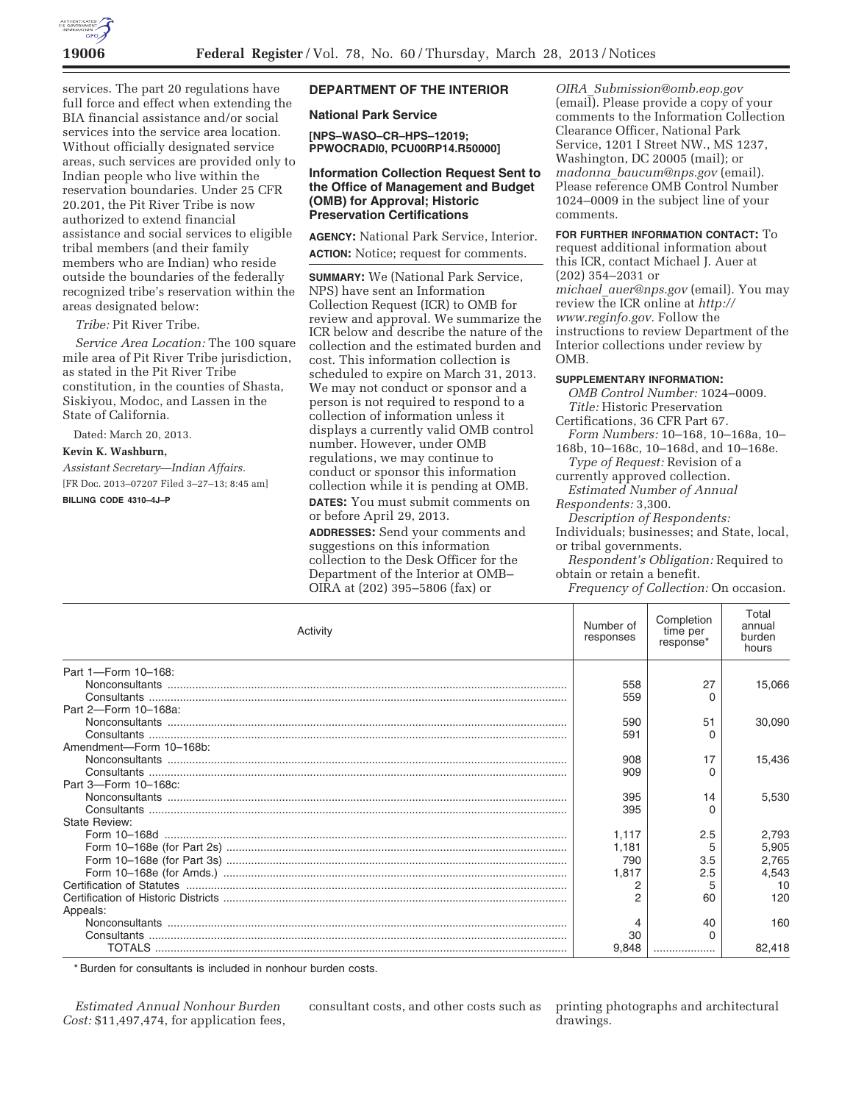

services. The part 20 regulations have full force and effect when extending the BIA financial assistance and/or social services into the service area location. Without officially designated service areas, such services are provided only to Indian people who live within the reservation boundaries. Under 25 CFR 20.201, the Pit River Tribe is now authorized to extend financial assistance and social services to eligible tribal members (and their family members who are Indian) who reside outside the boundaries of the federally recognized tribe's reservation within the areas designated below:

*Tribe:* Pit River Tribe.

*Service Area Location:* The 100 square mile area of Pit River Tribe jurisdiction, as stated in the Pit River Tribe constitution, in the counties of Shasta, Siskiyou, Modoc, and Lassen in the State of California.

Dated: March 20, 2013.

#### **Kevin K. Washburn,**

*Assistant Secretary—Indian Affairs.*  [FR Doc. 2013–07207 Filed 3–27–13; 8:45 am]

**BILLING CODE 4310–4J–P** 

## **DEPARTMENT OF THE INTERIOR**

**National Park Service** 

**[NPS–WASO–CR–HPS–12019; PPWOCRADI0, PCU00RP14.R50000]** 

## **Information Collection Request Sent to the Office of Management and Budget (OMB) for Approval; Historic Preservation Certifications**

**AGENCY:** National Park Service, Interior. **ACTION:** Notice; request for comments.

**SUMMARY:** We (National Park Service, NPS) have sent an Information Collection Request (ICR) to OMB for review and approval. We summarize the ICR below and describe the nature of the collection and the estimated burden and cost. This information collection is scheduled to expire on March 31, 2013. We may not conduct or sponsor and a person is not required to respond to a collection of information unless it displays a currently valid OMB control number. However, under OMB regulations, we may continue to conduct or sponsor this information collection while it is pending at OMB.

**DATES:** You must submit comments on or before April 29, 2013.

**ADDRESSES:** Send your comments and suggestions on this information collection to the Desk Officer for the Department of the Interior at OMB– OIRA at (202) 395–5806 (fax) or

*OIRA*\_*Submission@omb.eop.gov*   $(emai\overline{I})$ . Please provide a copy of your comments to the Information Collection Clearance Officer, National Park Service, 1201 I Street NW., MS 1237, Washington, DC 20005 (mail); or *madonna*\_*baucum@nps.gov* (email). Please reference OMB Control Number 1024–0009 in the subject line of your comments.

**FOR FURTHER INFORMATION CONTACT:** To request additional information about this ICR, contact Michael J. Auer at (202) 354–2031 or *michael*\_*auer@nps.gov* (email). You may review the ICR online at *http:// www.reginfo.gov.* Follow the instructions to review Department of the Interior collections under review by OMB.

# **SUPPLEMENTARY INFORMATION:**

*OMB Control Number:* 1024–0009. *Title:* Historic Preservation Certifications, 36 CFR Part 67. *Form Numbers:* 10–168, 10–168a, 10– 168b, 10–168c, 10–168d, and 10–168e. *Type of Request:* Revision of a currently approved collection. *Estimated Number of Annual* 

*Respondents:* 3,300.

*Description of Respondents:* 

Individuals; businesses; and State, local, or tribal governments.

*Respondent's Obligation:* Required to obtain or retain a benefit.

*Frequency of Collection:* On occasion.

| Activity                | Number of<br>responses | Completion<br>time per<br>response* | Total<br>annual<br>burden<br>hours |
|-------------------------|------------------------|-------------------------------------|------------------------------------|
| Part 1-Form 10-168:     |                        |                                     |                                    |
|                         | 558                    | 27                                  | 15,066                             |
|                         | 559                    | O                                   |                                    |
| Part 2-Form 10-168a:    |                        |                                     |                                    |
|                         | 590                    | 51                                  | 30.090                             |
|                         | 591                    | O                                   |                                    |
| Amendment-Form 10-168b: |                        |                                     |                                    |
|                         | 908                    | 17                                  | 15.436                             |
|                         | 909                    | O                                   |                                    |
| Part 3-Form 10-168c:    |                        |                                     |                                    |
|                         | 395                    | 14                                  | 5.530                              |
|                         | 395                    | O                                   |                                    |
| <b>State Review:</b>    |                        |                                     |                                    |
|                         | 1,117                  | 2.5                                 | 2,793                              |
|                         | 1,181                  | 5                                   | 5,905                              |
|                         | 790                    | 3.5                                 | 2,765                              |
|                         | 1.817                  | 2.5                                 | 4,543                              |
|                         |                        |                                     | 10                                 |
|                         | 2                      | 60                                  | 120                                |
| Appeals:                |                        |                                     |                                    |
|                         | 4                      | 40                                  | 160                                |
|                         | 30                     | 0                                   |                                    |
|                         | 9.848                  |                                     | 82.418                             |

\* Burden for consultants is included in nonhour burden costs.

*Estimated Annual Nonhour Burden Cost:* \$11,497,474, for application fees, consultant costs, and other costs such as printing photographs and architectural

drawings.